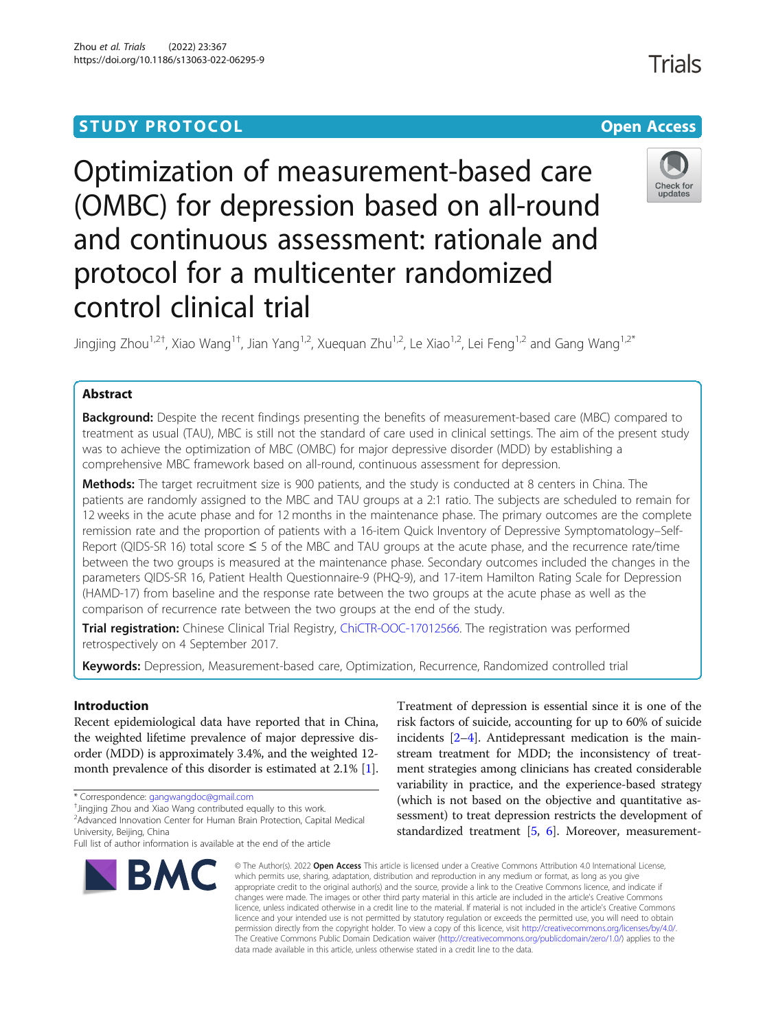# **STUDY PROTOCOL CONSUMING THE CONSUMING OPEN ACCESS**

# Optimization of measurement-based care (OMBC) for depression based on all-round and continuous assessment: rationale and protocol for a multicenter randomized control clinical trial

Jingjing Zhou<sup>1,2†</sup>, Xiao Wang<sup>1†</sup>, Jian Yang<sup>1,2</sup>, Xuequan Zhu<sup>1,2</sup>, Le Xiao<sup>1,2</sup>, Lei Feng<sup>1,2</sup> and Gang Wang<sup>1,2\*</sup>

# Abstract

Background: Despite the recent findings presenting the benefits of measurement-based care (MBC) compared to treatment as usual (TAU), MBC is still not the standard of care used in clinical settings. The aim of the present study was to achieve the optimization of MBC (OMBC) for major depressive disorder (MDD) by establishing a comprehensive MBC framework based on all-round, continuous assessment for depression.

Methods: The target recruitment size is 900 patients, and the study is conducted at 8 centers in China. The patients are randomly assigned to the MBC and TAU groups at a 2:1 ratio. The subjects are scheduled to remain for 12 weeks in the acute phase and for 12 months in the maintenance phase. The primary outcomes are the complete remission rate and the proportion of patients with a 16-item Quick Inventory of Depressive Symptomatology–Self-Report (QIDS-SR 16) total score ≤ 5 of the MBC and TAU groups at the acute phase, and the recurrence rate/time between the two groups is measured at the maintenance phase. Secondary outcomes included the changes in the parameters QIDS-SR 16, Patient Health Questionnaire-9 (PHQ-9), and 17-item Hamilton Rating Scale for Depression (HAMD-17) from baseline and the response rate between the two groups at the acute phase as well as the comparison of recurrence rate between the two groups at the end of the study.

**Trial registration:** Chinese Clinical Trial Registry, [ChiCTR-OOC-17012566.](https://www.chictr.org.cn/about.aspx) The registration was performed retrospectively on 4 September 2017.

Keywords: Depression, Measurement-based care, Optimization, Recurrence, Randomized controlled trial

# Introduction

Recent epidemiological data have reported that in China, the weighted lifetime prevalence of major depressive disorder (MDD) is approximately 3.4%, and the weighted 12 month prevalence of this disorder is estimated at 2.1% [[1](#page-9-0)].

**BMC** 

# Treatment of depression is essential since it is one of the risk factors of suicide, accounting for up to 60% of suicide incidents [\[2](#page-9-0)–[4\]](#page-9-0). Antidepressant medication is the mainstream treatment for MDD; the inconsistency of treatment strategies among clinicians has created considerable variability in practice, and the experience-based strategy (which is not based on the objective and quantitative assessment) to treat depression restricts the development of standardized treatment [[5](#page-9-0), [6](#page-9-0)]. Moreover, measurement-

© The Author(s), 2022 **Open Access** This article is licensed under a Creative Commons Attribution 4.0 International License, which permits use, sharing, adaptation, distribution and reproduction in any medium or format, as long as you give appropriate credit to the original author(s) and the source, provide a link to the Creative Commons licence, and indicate if changes were made. The images or other third party material in this article are included in the article's Creative Commons licence, unless indicated otherwise in a credit line to the material. If material is not included in the article's Creative Commons licence and your intended use is not permitted by statutory regulation or exceeds the permitted use, you will need to obtain permission directly from the copyright holder. To view a copy of this licence, visit [http://creativecommons.org/licenses/by/4.0/.](http://creativecommons.org/licenses/by/4.0/) The Creative Commons Public Domain Dedication waiver [\(http://creativecommons.org/publicdomain/zero/1.0/](http://creativecommons.org/publicdomain/zero/1.0/)) applies to the data made available in this article, unless otherwise stated in a credit line to the data.





<sup>\*</sup> Correspondence: [gangwangdoc@gmail.com](mailto:gangwangdoc@gmail.com) †

<sup>&</sup>lt;sup>+</sup>Jingjing Zhou and Xiao Wang contributed equally to this work.

<sup>2</sup> Advanced Innovation Center for Human Brain Protection, Capital Medical University, Beijing, China

Full list of author information is available at the end of the article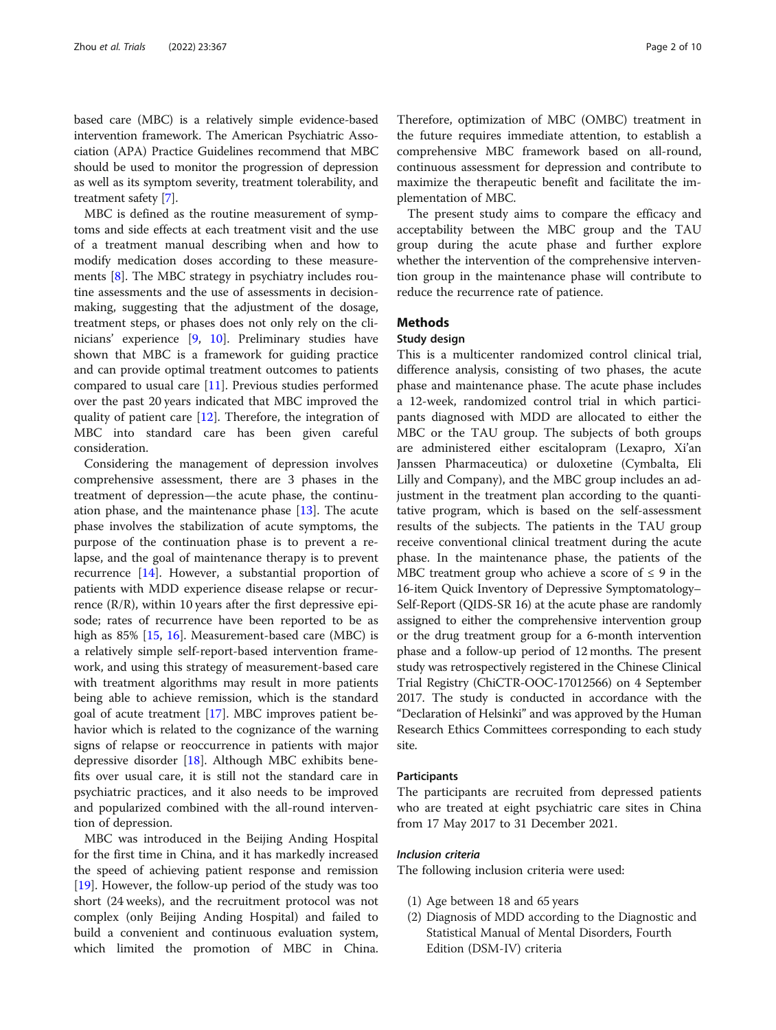based care (MBC) is a relatively simple evidence-based intervention framework. The American Psychiatric Association (APA) Practice Guidelines recommend that MBC should be used to monitor the progression of depression as well as its symptom severity, treatment tolerability, and treatment safety [[7\]](#page-9-0).

MBC is defined as the routine measurement of symptoms and side effects at each treatment visit and the use of a treatment manual describing when and how to modify medication doses according to these measurements [[8\]](#page-9-0). The MBC strategy in psychiatry includes routine assessments and the use of assessments in decisionmaking, suggesting that the adjustment of the dosage, treatment steps, or phases does not only rely on the clinicians' experience [\[9](#page-9-0), [10\]](#page-9-0). Preliminary studies have shown that MBC is a framework for guiding practice and can provide optimal treatment outcomes to patients compared to usual care [[11\]](#page-9-0). Previous studies performed over the past 20 years indicated that MBC improved the quality of patient care [\[12\]](#page-9-0). Therefore, the integration of MBC into standard care has been given careful consideration.

Considering the management of depression involves comprehensive assessment, there are 3 phases in the treatment of depression—the acute phase, the continuation phase, and the maintenance phase [\[13](#page-9-0)]. The acute phase involves the stabilization of acute symptoms, the purpose of the continuation phase is to prevent a relapse, and the goal of maintenance therapy is to prevent recurrence [\[14\]](#page-9-0). However, a substantial proportion of patients with MDD experience disease relapse or recurrence  $(R/R)$ , within 10 years after the first depressive episode; rates of recurrence have been reported to be as high as 85% [[15,](#page-9-0) [16\]](#page-9-0). Measurement-based care (MBC) is a relatively simple self-report-based intervention framework, and using this strategy of measurement-based care with treatment algorithms may result in more patients being able to achieve remission, which is the standard goal of acute treatment [[17](#page-9-0)]. MBC improves patient behavior which is related to the cognizance of the warning signs of relapse or reoccurrence in patients with major depressive disorder [[18\]](#page-9-0). Although MBC exhibits benefits over usual care, it is still not the standard care in psychiatric practices, and it also needs to be improved and popularized combined with the all-round intervention of depression.

MBC was introduced in the Beijing Anding Hospital for the first time in China, and it has markedly increased the speed of achieving patient response and remission [[19\]](#page-9-0). However, the follow-up period of the study was too short (24 weeks), and the recruitment protocol was not complex (only Beijing Anding Hospital) and failed to build a convenient and continuous evaluation system, which limited the promotion of MBC in China.

Therefore, optimization of MBC (OMBC) treatment in the future requires immediate attention, to establish a comprehensive MBC framework based on all-round, continuous assessment for depression and contribute to maximize the therapeutic benefit and facilitate the implementation of MBC.

The present study aims to compare the efficacy and acceptability between the MBC group and the TAU group during the acute phase and further explore whether the intervention of the comprehensive intervention group in the maintenance phase will contribute to reduce the recurrence rate of patience.

# Methods

# Study design

This is a multicenter randomized control clinical trial, difference analysis, consisting of two phases, the acute phase and maintenance phase. The acute phase includes a 12-week, randomized control trial in which participants diagnosed with MDD are allocated to either the MBC or the TAU group. The subjects of both groups are administered either escitalopram (Lexapro, Xi'an Janssen Pharmaceutica) or duloxetine (Cymbalta, Eli Lilly and Company), and the MBC group includes an adjustment in the treatment plan according to the quantitative program, which is based on the self-assessment results of the subjects. The patients in the TAU group receive conventional clinical treatment during the acute phase. In the maintenance phase, the patients of the MBC treatment group who achieve a score of  $\leq$  9 in the 16-item Quick Inventory of Depressive Symptomatology– Self-Report (QIDS-SR 16) at the acute phase are randomly assigned to either the comprehensive intervention group or the drug treatment group for a 6-month intervention phase and a follow-up period of 12 months. The present study was retrospectively registered in the Chinese Clinical Trial Registry (ChiCTR-OOC-17012566) on 4 September 2017. The study is conducted in accordance with the "Declaration of Helsinki" and was approved by the Human Research Ethics Committees corresponding to each study site.

#### Participants

The participants are recruited from depressed patients who are treated at eight psychiatric care sites in China from 17 May 2017 to 31 December 2021.

# Inclusion criteria

The following inclusion criteria were used:

- (1) Age between 18 and 65 years
- (2) Diagnosis of MDD according to the Diagnostic and Statistical Manual of Mental Disorders, Fourth Edition (DSM-IV) criteria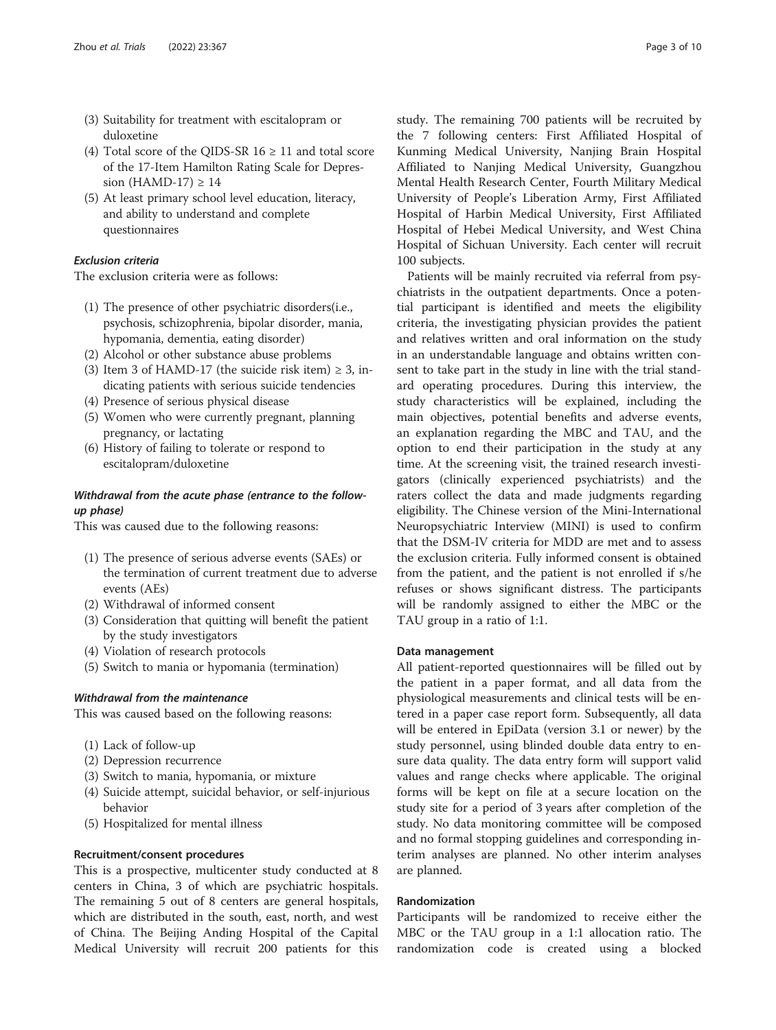- (3) Suitability for treatment with escitalopram or duloxetine
- (4) Total score of the QIDS-SR  $16 \ge 11$  and total score of the 17-Item Hamilton Rating Scale for Depression (HAMD-17)  $\geq 14$
- (5) At least primary school level education, literacy, and ability to understand and complete questionnaires

# Exclusion criteria

The exclusion criteria were as follows:

- (1) The presence of other psychiatric disorders(i.e., psychosis, schizophrenia, bipolar disorder, mania, hypomania, dementia, eating disorder)
- (2) Alcohol or other substance abuse problems
- (3) Item 3 of HAMD-17 (the suicide risk item)  $\geq$  3, indicating patients with serious suicide tendencies
- (4) Presence of serious physical disease
- (5) Women who were currently pregnant, planning pregnancy, or lactating
- (6) History of failing to tolerate or respond to escitalopram/duloxetine

# Withdrawal from the acute phase (entrance to the followup phase)

This was caused due to the following reasons:

- (1) The presence of serious adverse events (SAEs) or the termination of current treatment due to adverse events (AEs)
- (2) Withdrawal of informed consent
- (3) Consideration that quitting will benefit the patient by the study investigators
- (4) Violation of research protocols
- (5) Switch to mania or hypomania (termination)

# Withdrawal from the maintenance

This was caused based on the following reasons:

- (1) Lack of follow-up
- (2) Depression recurrence
- (3) Switch to mania, hypomania, or mixture
- (4) Suicide attempt, suicidal behavior, or self-injurious behavior
- (5) Hospitalized for mental illness

# Recruitment/consent procedures

This is a prospective, multicenter study conducted at 8 centers in China, 3 of which are psychiatric hospitals. The remaining 5 out of 8 centers are general hospitals, which are distributed in the south, east, north, and west of China. The Beijing Anding Hospital of the Capital Medical University will recruit 200 patients for this study. The remaining 700 patients will be recruited by the 7 following centers: First Affiliated Hospital of Kunming Medical University, Nanjing Brain Hospital Affiliated to Nanjing Medical University, Guangzhou Mental Health Research Center, Fourth Military Medical University of People's Liberation Army, First Affiliated Hospital of Harbin Medical University, First Affiliated Hospital of Hebei Medical University, and West China Hospital of Sichuan University. Each center will recruit 100 subjects.

Patients will be mainly recruited via referral from psychiatrists in the outpatient departments. Once a potential participant is identified and meets the eligibility criteria, the investigating physician provides the patient and relatives written and oral information on the study in an understandable language and obtains written consent to take part in the study in line with the trial standard operating procedures. During this interview, the study characteristics will be explained, including the main objectives, potential benefits and adverse events, an explanation regarding the MBC and TAU, and the option to end their participation in the study at any time. At the screening visit, the trained research investigators (clinically experienced psychiatrists) and the raters collect the data and made judgments regarding eligibility. The Chinese version of the Mini-International Neuropsychiatric Interview (MINI) is used to confirm that the DSM-IV criteria for MDD are met and to assess the exclusion criteria. Fully informed consent is obtained from the patient, and the patient is not enrolled if s/he refuses or shows significant distress. The participants will be randomly assigned to either the MBC or the TAU group in a ratio of 1:1.

## Data management

All patient-reported questionnaires will be filled out by the patient in a paper format, and all data from the physiological measurements and clinical tests will be entered in a paper case report form. Subsequently, all data will be entered in EpiData (version 3.1 or newer) by the study personnel, using blinded double data entry to ensure data quality. The data entry form will support valid values and range checks where applicable. The original forms will be kept on file at a secure location on the study site for a period of 3 years after completion of the study. No data monitoring committee will be composed and no formal stopping guidelines and corresponding interim analyses are planned. No other interim analyses are planned.

# Randomization

Participants will be randomized to receive either the MBC or the TAU group in a 1:1 allocation ratio. The randomization code is created using a blocked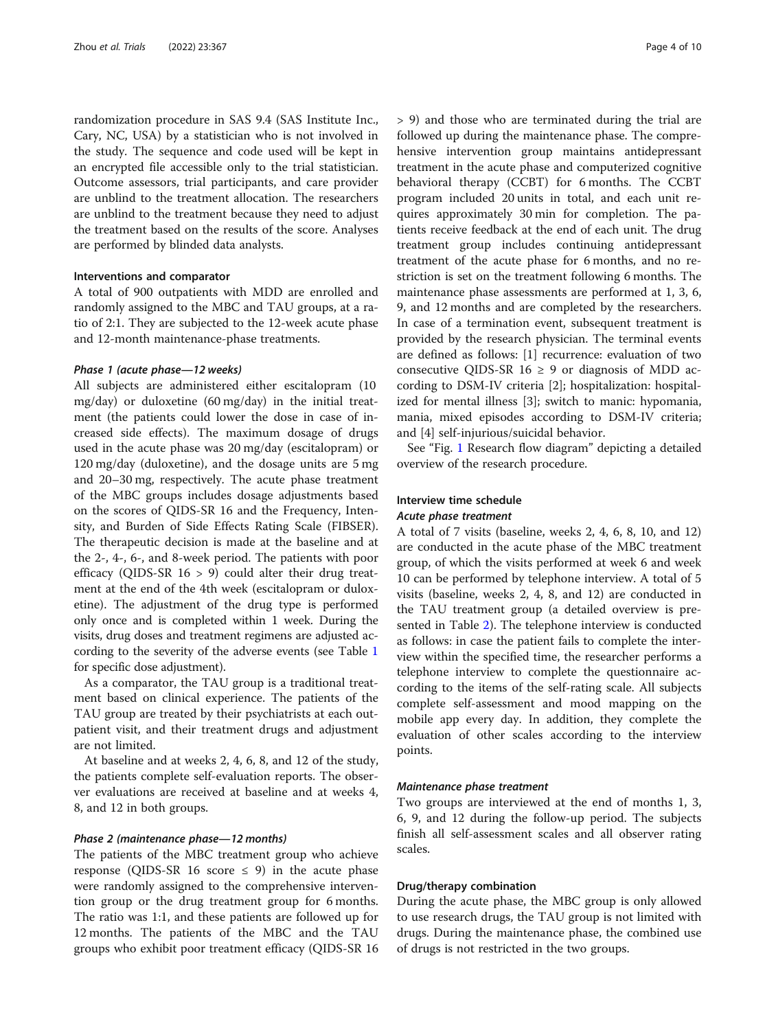randomization procedure in SAS 9.4 (SAS Institute Inc., Cary, NC, USA) by a statistician who is not involved in the study. The sequence and code used will be kept in an encrypted file accessible only to the trial statistician. Outcome assessors, trial participants, and care provider are unblind to the treatment allocation. The researchers are unblind to the treatment because they need to adjust the treatment based on the results of the score. Analyses are performed by blinded data analysts.

#### Interventions and comparator

A total of 900 outpatients with MDD are enrolled and randomly assigned to the MBC and TAU groups, at a ratio of 2:1. They are subjected to the 12-week acute phase and 12-month maintenance-phase treatments.

#### Phase 1 (acute phase—12 weeks)

All subjects are administered either escitalopram (10 mg/day) or duloxetine (60 mg/day) in the initial treatment (the patients could lower the dose in case of increased side effects). The maximum dosage of drugs used in the acute phase was 20 mg/day (escitalopram) or 120 mg/day (duloxetine), and the dosage units are 5 mg and 20–30 mg, respectively. The acute phase treatment of the MBC groups includes dosage adjustments based on the scores of QIDS-SR 16 and the Frequency, Intensity, and Burden of Side Effects Rating Scale (FIBSER). The therapeutic decision is made at the baseline and at the 2-, 4-, 6-, and 8-week period. The patients with poor efficacy (QIDS-SR  $16 > 9$ ) could alter their drug treatment at the end of the 4th week (escitalopram or duloxetine). The adjustment of the drug type is performed only once and is completed within 1 week. During the visits, drug doses and treatment regimens are adjusted according to the severity of the adverse events (see Table [1](#page-4-0) for specific dose adjustment).

As a comparator, the TAU group is a traditional treatment based on clinical experience. The patients of the TAU group are treated by their psychiatrists at each outpatient visit, and their treatment drugs and adjustment are not limited.

At baseline and at weeks 2, 4, 6, 8, and 12 of the study, the patients complete self-evaluation reports. The observer evaluations are received at baseline and at weeks 4, 8, and 12 in both groups.

#### Phase 2 (maintenance phase—12 months)

The patients of the MBC treatment group who achieve response (QIDS-SR 16 score  $\leq$  9) in the acute phase were randomly assigned to the comprehensive intervention group or the drug treatment group for 6 months. The ratio was 1:1, and these patients are followed up for 12 months. The patients of the MBC and the TAU groups who exhibit poor treatment efficacy (QIDS-SR 16 > 9) and those who are terminated during the trial are followed up during the maintenance phase. The comprehensive intervention group maintains antidepressant treatment in the acute phase and computerized cognitive behavioral therapy (CCBT) for 6 months. The CCBT program included 20 units in total, and each unit requires approximately 30 min for completion. The patients receive feedback at the end of each unit. The drug treatment group includes continuing antidepressant treatment of the acute phase for 6 months, and no restriction is set on the treatment following 6 months. The maintenance phase assessments are performed at 1, 3, 6, 9, and 12 months and are completed by the researchers. In case of a termination event, subsequent treatment is provided by the research physician. The terminal events are defined as follows: [1] recurrence: evaluation of two consecutive QIDS-SR 16  $\ge$  9 or diagnosis of MDD according to DSM-IV criteria [2]; hospitalization: hospitalized for mental illness [3]; switch to manic: hypomania, mania, mixed episodes according to DSM-IV criteria; and [4] self-injurious/suicidal behavior.

See "Fig. [1](#page-5-0) Research flow diagram" depicting a detailed overview of the research procedure.

# Interview time schedule Acute phase treatment

A total of 7 visits (baseline, weeks 2, 4, 6, 8, 10, and 12) are conducted in the acute phase of the MBC treatment group, of which the visits performed at week 6 and week 10 can be performed by telephone interview. A total of 5 visits (baseline, weeks 2, 4, 8, and 12) are conducted in the TAU treatment group (a detailed overview is presented in Table [2\)](#page-6-0). The telephone interview is conducted as follows: in case the patient fails to complete the interview within the specified time, the researcher performs a telephone interview to complete the questionnaire according to the items of the self-rating scale. All subjects complete self-assessment and mood mapping on the mobile app every day. In addition, they complete the evaluation of other scales according to the interview points.

#### Maintenance phase treatment

Two groups are interviewed at the end of months 1, 3, 6, 9, and 12 during the follow-up period. The subjects finish all self-assessment scales and all observer rating scales.

# Drug/therapy combination

During the acute phase, the MBC group is only allowed to use research drugs, the TAU group is not limited with drugs. During the maintenance phase, the combined use of drugs is not restricted in the two groups.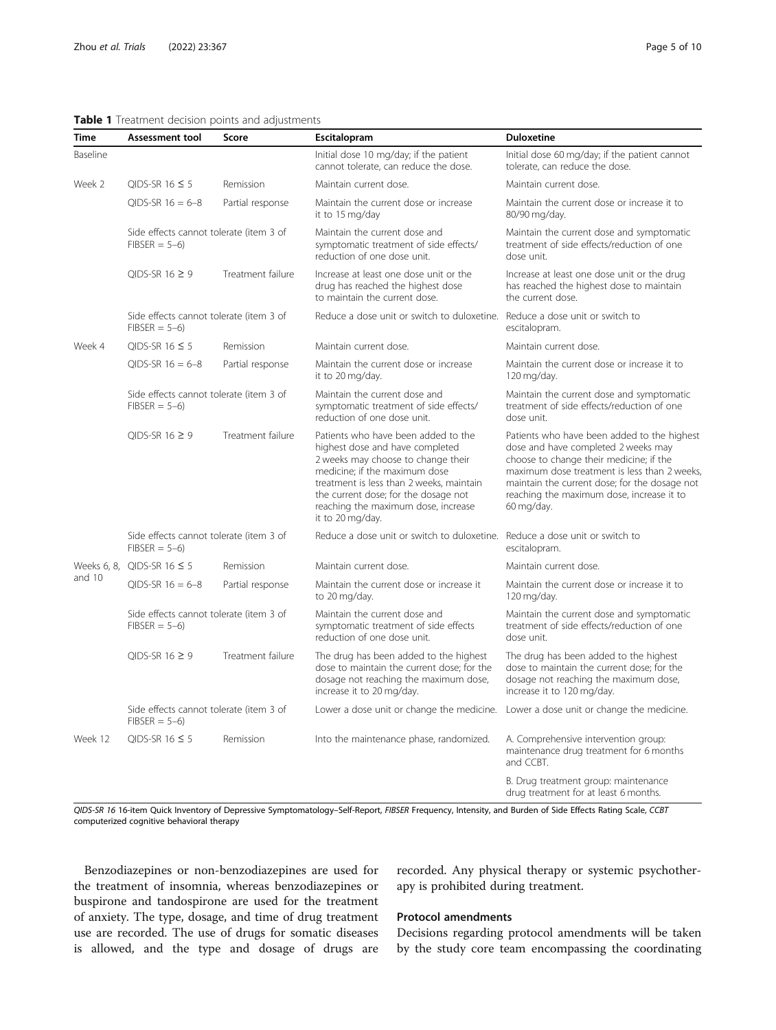# <span id="page-4-0"></span>Table 1 Treatment decision points and adjustments

| Time                  | <b>Assessment tool</b>                                    | Score             | Escitalopram                                                                                                                                                                                                                                                                                 | <b>Duloxetine</b>                                                                                                                                                                                                                                                                        |  |  |
|-----------------------|-----------------------------------------------------------|-------------------|----------------------------------------------------------------------------------------------------------------------------------------------------------------------------------------------------------------------------------------------------------------------------------------------|------------------------------------------------------------------------------------------------------------------------------------------------------------------------------------------------------------------------------------------------------------------------------------------|--|--|
| Baseline              |                                                           |                   | Initial dose 10 mg/day; if the patient<br>cannot tolerate, can reduce the dose.                                                                                                                                                                                                              | Initial dose 60 mg/day; if the patient cannot<br>tolerate, can reduce the dose.                                                                                                                                                                                                          |  |  |
| Week 2                | OIDS-SR $16 \leq 5$                                       | Remission         | Maintain current dose.                                                                                                                                                                                                                                                                       | Maintain current dose.                                                                                                                                                                                                                                                                   |  |  |
|                       | OIDS-SR $16 = 6 - 8$                                      | Partial response  | Maintain the current dose or increase<br>it to 15 mg/day                                                                                                                                                                                                                                     | Maintain the current dose or increase it to<br>80/90 mg/day.                                                                                                                                                                                                                             |  |  |
|                       | Side effects cannot tolerate (item 3 of<br>$FIBSER = 5-6$ |                   | Maintain the current dose and<br>symptomatic treatment of side effects/<br>reduction of one dose unit.                                                                                                                                                                                       | Maintain the current dose and symptomatic<br>treatment of side effects/reduction of one<br>dose unit.                                                                                                                                                                                    |  |  |
|                       | QIDS-SR 16 $\geq$ 9                                       | Treatment failure | Increase at least one dose unit or the<br>drug has reached the highest dose<br>to maintain the current dose.                                                                                                                                                                                 | Increase at least one dose unit or the drug<br>has reached the highest dose to maintain<br>the current dose.                                                                                                                                                                             |  |  |
|                       | Side effects cannot tolerate (item 3 of<br>$FIBSER = 5-6$ |                   | Reduce a dose unit or switch to duloxetine. Reduce a dose unit or switch to                                                                                                                                                                                                                  | escitalopram.                                                                                                                                                                                                                                                                            |  |  |
| Week 4                | OIDS-SR 16 $\leq$ 5                                       | Remission         | Maintain current dose.                                                                                                                                                                                                                                                                       | Maintain current dose.                                                                                                                                                                                                                                                                   |  |  |
|                       | OIDS-SR $16 = 6 - 8$                                      | Partial response  | Maintain the current dose or increase<br>it to 20 mg/day.                                                                                                                                                                                                                                    | Maintain the current dose or increase it to<br>120 mg/day.                                                                                                                                                                                                                               |  |  |
|                       | Side effects cannot tolerate (item 3 of<br>$FIBSER = 5-6$ |                   | Maintain the current dose and<br>symptomatic treatment of side effects/<br>reduction of one dose unit.                                                                                                                                                                                       | Maintain the current dose and symptomatic<br>treatment of side effects/reduction of one<br>dose unit.                                                                                                                                                                                    |  |  |
|                       | OIDS-SR $16 \ge 9$<br>Treatment failure                   |                   | Patients who have been added to the<br>highest dose and have completed<br>2 weeks may choose to change their<br>medicine; if the maximum dose<br>treatment is less than 2 weeks, maintain<br>the current dose; for the dosage not<br>reaching the maximum dose, increase<br>it to 20 mg/day. | Patients who have been added to the highest<br>dose and have completed 2 weeks may<br>choose to change their medicine; if the<br>maximum dose treatment is less than 2 weeks<br>maintain the current dose; for the dosage not<br>reaching the maximum dose, increase it to<br>60 mg/day. |  |  |
|                       | Side effects cannot tolerate (item 3 of<br>$FIBSER = 5-6$ |                   | Reduce a dose unit or switch to duloxetine. Reduce a dose unit or switch to                                                                                                                                                                                                                  | escitalopram.                                                                                                                                                                                                                                                                            |  |  |
| Weeks 6, 8,<br>and 10 | QIDS-SR $16 \leq 5$                                       | Remission         | Maintain current dose.                                                                                                                                                                                                                                                                       | Maintain current dose.                                                                                                                                                                                                                                                                   |  |  |
|                       | $QIDS-SR$ 16 = 6-8                                        | Partial response  | Maintain the current dose or increase it<br>to 20 mg/day.                                                                                                                                                                                                                                    | Maintain the current dose or increase it to<br>120 mg/day.                                                                                                                                                                                                                               |  |  |
|                       | Side effects cannot tolerate (item 3 of<br>$FIBSER = 5-6$ |                   | Maintain the current dose and<br>symptomatic treatment of side effects<br>reduction of one dose unit.                                                                                                                                                                                        | Maintain the current dose and symptomatic<br>treatment of side effects/reduction of one<br>dose unit.                                                                                                                                                                                    |  |  |
|                       | OIDS-SR $16 \ge 9$                                        | Treatment failure | The drug has been added to the highest<br>dose to maintain the current dose: for the<br>dosage not reaching the maximum dose,<br>increase it to 20 mg/day.                                                                                                                                   | The drug has been added to the highest<br>dose to maintain the current dose: for the<br>dosage not reaching the maximum dose,<br>increase it to 120 mg/day.                                                                                                                              |  |  |
|                       | Side effects cannot tolerate (item 3 of<br>$FIBSER = 5-6$ |                   | Lower a dose unit or change the medicine.                                                                                                                                                                                                                                                    | Lower a dose unit or change the medicine.                                                                                                                                                                                                                                                |  |  |
| Week 12               | QIDS-SR 16 $\leq$ 5                                       | Remission         | Into the maintenance phase, randomized.                                                                                                                                                                                                                                                      | A. Comprehensive intervention group:<br>maintenance drug treatment for 6 months<br>and CCBT.                                                                                                                                                                                             |  |  |
|                       |                                                           |                   |                                                                                                                                                                                                                                                                                              | B. Drug treatment group: maintenance<br>drug treatment for at least 6 months.                                                                                                                                                                                                            |  |  |

QIDS-SR 16 16-item Quick Inventory of Depressive Symptomatology-Self-Report, FIBSER Frequency, Intensity, and Burden of Side Effects Rating Scale, CCBT computerized cognitive behavioral therapy

Benzodiazepines or non-benzodiazepines are used for the treatment of insomnia, whereas benzodiazepines or buspirone and tandospirone are used for the treatment of anxiety. The type, dosage, and time of drug treatment use are recorded. The use of drugs for somatic diseases is allowed, and the type and dosage of drugs are

# recorded. Any physical therapy or systemic psychotherapy is prohibited during treatment.

# Protocol amendments

Decisions regarding protocol amendments will be taken by the study core team encompassing the coordinating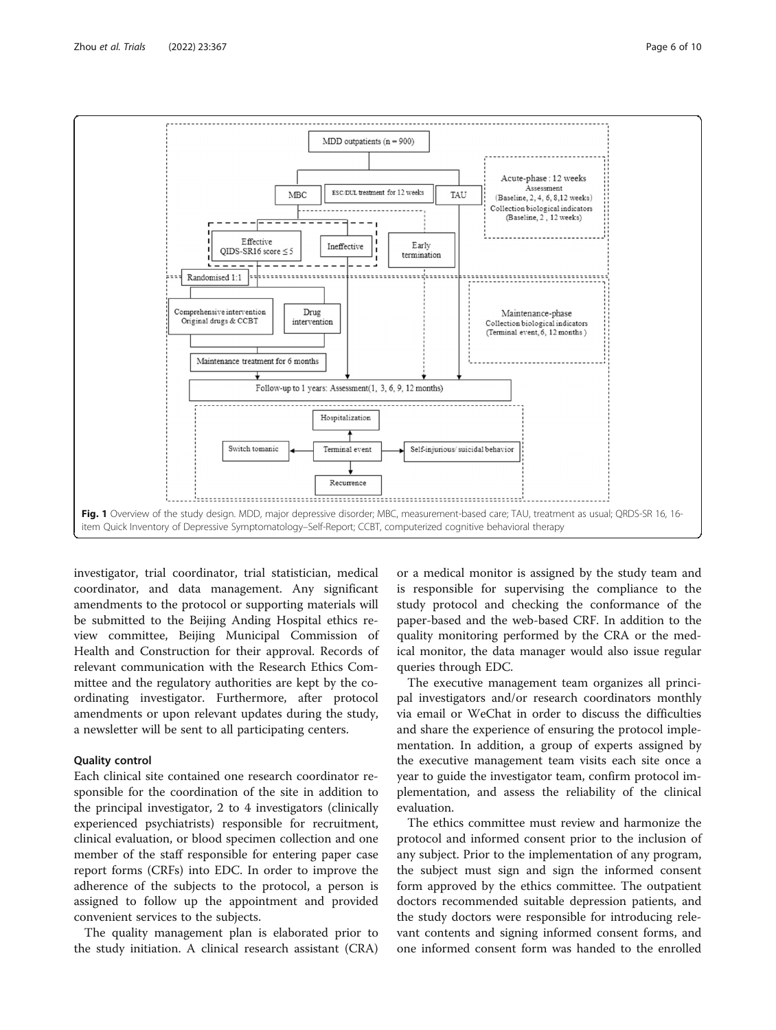<span id="page-5-0"></span>

investigator, trial coordinator, trial statistician, medical coordinator, and data management. Any significant amendments to the protocol or supporting materials will be submitted to the Beijing Anding Hospital ethics review committee, Beijing Municipal Commission of Health and Construction for their approval. Records of relevant communication with the Research Ethics Committee and the regulatory authorities are kept by the coordinating investigator. Furthermore, after protocol amendments or upon relevant updates during the study, a newsletter will be sent to all participating centers.

# Quality control

Each clinical site contained one research coordinator responsible for the coordination of the site in addition to the principal investigator, 2 to 4 investigators (clinically experienced psychiatrists) responsible for recruitment, clinical evaluation, or blood specimen collection and one member of the staff responsible for entering paper case report forms (CRFs) into EDC. In order to improve the adherence of the subjects to the protocol, a person is assigned to follow up the appointment and provided convenient services to the subjects.

The quality management plan is elaborated prior to the study initiation. A clinical research assistant (CRA)

or a medical monitor is assigned by the study team and is responsible for supervising the compliance to the study protocol and checking the conformance of the paper-based and the web-based CRF. In addition to the quality monitoring performed by the CRA or the medical monitor, the data manager would also issue regular queries through EDC.

The executive management team organizes all principal investigators and/or research coordinators monthly via email or WeChat in order to discuss the difficulties and share the experience of ensuring the protocol implementation. In addition, a group of experts assigned by the executive management team visits each site once a year to guide the investigator team, confirm protocol implementation, and assess the reliability of the clinical evaluation.

The ethics committee must review and harmonize the protocol and informed consent prior to the inclusion of any subject. Prior to the implementation of any program, the subject must sign and sign the informed consent form approved by the ethics committee. The outpatient doctors recommended suitable depression patients, and the study doctors were responsible for introducing relevant contents and signing informed consent forms, and one informed consent form was handed to the enrolled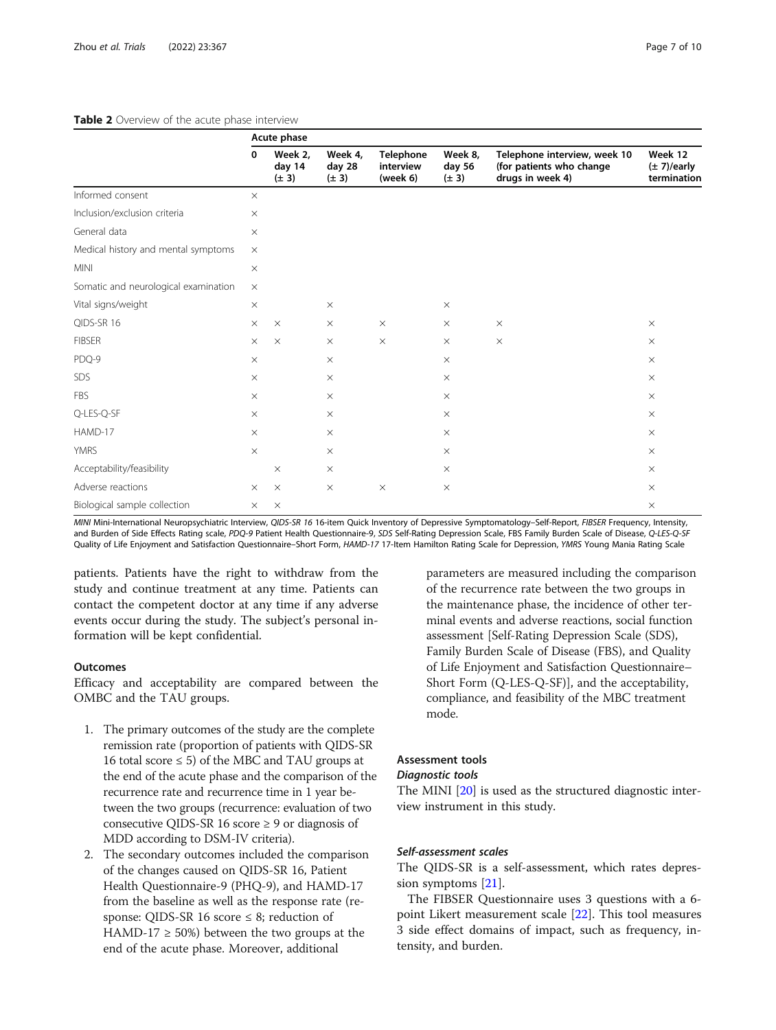# <span id="page-6-0"></span>Table 2 Overview of the acute phase interview

|                                      | Acute phase |                                |                                |                                    |                                |                                                                              |                                            |  |  |
|--------------------------------------|-------------|--------------------------------|--------------------------------|------------------------------------|--------------------------------|------------------------------------------------------------------------------|--------------------------------------------|--|--|
|                                      | 0           | Week 2,<br>day 14<br>$(\pm 3)$ | Week 4.<br>day 28<br>$(\pm 3)$ | Telephone<br>interview<br>(week 6) | Week 8.<br>day 56<br>$(\pm 3)$ | Telephone interview, week 10<br>(for patients who change<br>drugs in week 4) | Week 12<br>$(\pm 7)/$ early<br>termination |  |  |
| Informed consent                     | $\times$    |                                |                                |                                    |                                |                                                                              |                                            |  |  |
| Inclusion/exclusion criteria         | $\times$    |                                |                                |                                    |                                |                                                                              |                                            |  |  |
| General data                         | $\times$    |                                |                                |                                    |                                |                                                                              |                                            |  |  |
| Medical history and mental symptoms  |             |                                |                                |                                    |                                |                                                                              |                                            |  |  |
| <b>MINI</b>                          | $\times$    |                                |                                |                                    |                                |                                                                              |                                            |  |  |
| Somatic and neurological examination | $\times$    |                                |                                |                                    |                                |                                                                              |                                            |  |  |
| Vital signs/weight                   | $\times$    |                                | $\times$                       |                                    | $\times$                       |                                                                              |                                            |  |  |
| QIDS-SR 16                           | $\times$    | $\times$                       | $\times$                       | $\times$                           | $\times$                       | $\times$                                                                     | $\times$                                   |  |  |
| <b>FIBSER</b>                        | $\times$    | $\times$                       | $\times$                       | $\times$                           | $\times$                       | $\times$                                                                     | $\times$                                   |  |  |
| PDQ-9                                | $\times$    |                                | $\times$                       |                                    | $\times$                       |                                                                              | $\times$                                   |  |  |
| SDS                                  | $\times$    |                                | $\times$                       |                                    | $\times$                       |                                                                              | $\times$                                   |  |  |
| <b>FBS</b>                           | $\times$    |                                | $\times$                       |                                    | $\times$                       |                                                                              | $\times$                                   |  |  |
| Q-LES-Q-SF                           | $\times$    |                                | $\times$                       |                                    | $\times$                       |                                                                              | $\times$                                   |  |  |
| HAMD-17                              | $\times$    |                                | $\times$                       |                                    | $\times$                       |                                                                              | $\times$                                   |  |  |
| <b>YMRS</b>                          | $\times$    |                                | $\times$                       |                                    | $\times$                       |                                                                              | $\times$                                   |  |  |
| Acceptability/feasibility            |             | $\times$                       | $\times$                       |                                    | $\times$                       |                                                                              | $\times$                                   |  |  |
| Adverse reactions                    |             | $\times$                       | $\times$                       | $\times$                           | $\times$                       |                                                                              | $\times$                                   |  |  |
| Biological sample collection         |             | $\times$                       |                                |                                    |                                |                                                                              | $\times$                                   |  |  |

MINI Mini-International Neuropsychiatric Interview, QIDS-SR 16 16-item Quick Inventory of Depressive Symptomatology-Self-Report, FIBSER Frequency, Intensity, and Burden of Side Effects Rating scale, PDQ-9 Patient Health Questionnaire-9, SDS Self-Rating Depression Scale, FBS Family Burden Scale of Disease, Q-LES-Q-SI Quality of Life Enjoyment and Satisfaction Questionnaire-Short Form, HAMD-17 17-Item Hamilton Rating Scale for Depression, YMRS Young Mania Rating Scale

patients. Patients have the right to withdraw from the study and continue treatment at any time. Patients can contact the competent doctor at any time if any adverse events occur during the study. The subject's personal information will be kept confidential.

# **Outcomes**

Efficacy and acceptability are compared between the OMBC and the TAU groups.

- 1. The primary outcomes of the study are the complete remission rate (proportion of patients with QIDS-SR 16 total score  $\leq$  5) of the MBC and TAU groups at the end of the acute phase and the comparison of the recurrence rate and recurrence time in 1 year between the two groups (recurrence: evaluation of two consecutive QIDS-SR 16 score  $\geq$  9 or diagnosis of MDD according to DSM-IV criteria).
- 2. The secondary outcomes included the comparison of the changes caused on QIDS-SR 16, Patient Health Questionnaire-9 (PHQ-9), and HAMD-17 from the baseline as well as the response rate (response: QIDS-SR 16 score  $\leq$  8; reduction of HAMD-17  $\geq$  50%) between the two groups at the end of the acute phase. Moreover, additional

parameters are measured including the comparison of the recurrence rate between the two groups in the maintenance phase, the incidence of other terminal events and adverse reactions, social function assessment [Self-Rating Depression Scale (SDS), Family Burden Scale of Disease (FBS), and Quality of Life Enjoyment and Satisfaction Questionnaire– Short Form (Q-LES-Q-SF)], and the acceptability, compliance, and feasibility of the MBC treatment mode.

# Assessment tools

#### Diagnostic tools

The MINI [\[20\]](#page-9-0) is used as the structured diagnostic interview instrument in this study.

# Self-assessment scales

The QIDS-SR is a self-assessment, which rates depression symptoms [\[21](#page-9-0)].

The FIBSER Questionnaire uses 3 questions with a 6 point Likert measurement scale [[22](#page-9-0)]. This tool measures 3 side effect domains of impact, such as frequency, intensity, and burden.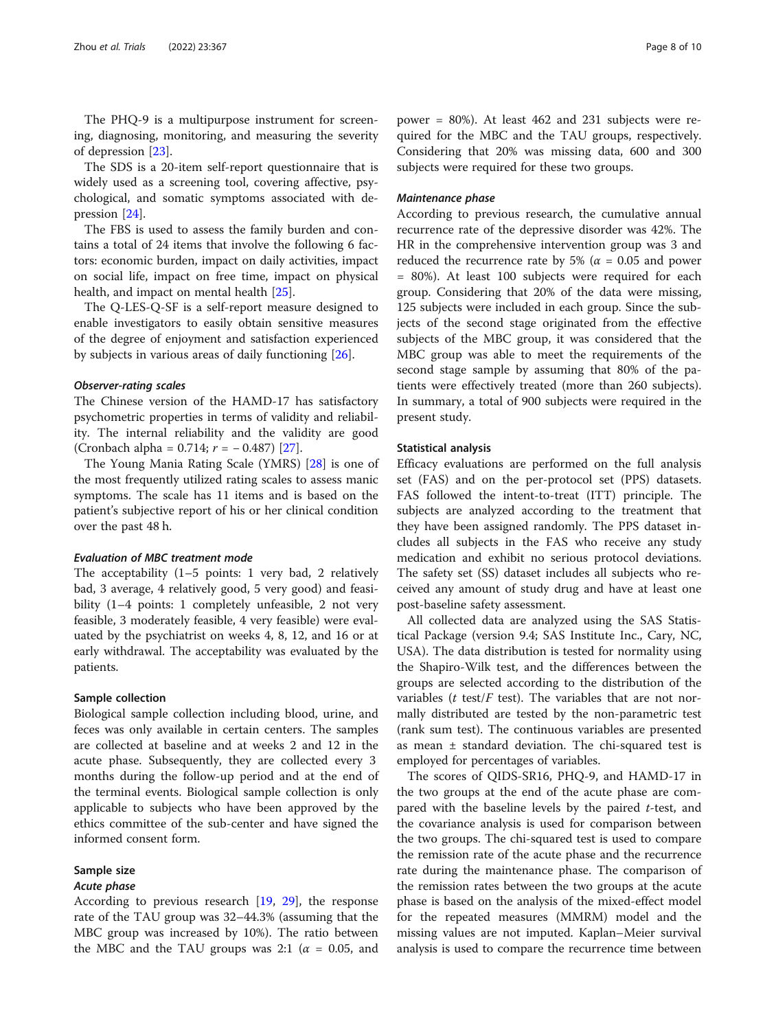The PHQ-9 is a multipurpose instrument for screening, diagnosing, monitoring, and measuring the severity of depression [\[23](#page-9-0)].

The SDS is a 20-item self-report questionnaire that is widely used as a screening tool, covering affective, psychological, and somatic symptoms associated with depression [[24\]](#page-9-0).

The FBS is used to assess the family burden and contains a total of 24 items that involve the following 6 factors: economic burden, impact on daily activities, impact on social life, impact on free time, impact on physical health, and impact on mental health [[25](#page-9-0)].

The Q-LES-Q-SF is a self-report measure designed to enable investigators to easily obtain sensitive measures of the degree of enjoyment and satisfaction experienced by subjects in various areas of daily functioning [\[26](#page-9-0)].

#### Observer-rating scales

The Chinese version of the HAMD-17 has satisfactory psychometric properties in terms of validity and reliability. The internal reliability and the validity are good (Cronbach alpha =  $0.714$ ;  $r = -0.487$ ) [\[27](#page-9-0)].

The Young Mania Rating Scale (YMRS) [[28](#page-9-0)] is one of the most frequently utilized rating scales to assess manic symptoms. The scale has 11 items and is based on the patient's subjective report of his or her clinical condition over the past 48 h.

# Evaluation of MBC treatment mode

The acceptability (1–5 points: 1 very bad, 2 relatively bad, 3 average, 4 relatively good, 5 very good) and feasibility (1–4 points: 1 completely unfeasible, 2 not very feasible, 3 moderately feasible, 4 very feasible) were evaluated by the psychiatrist on weeks 4, 8, 12, and 16 or at early withdrawal. The acceptability was evaluated by the patients.

# Sample collection

Biological sample collection including blood, urine, and feces was only available in certain centers. The samples are collected at baseline and at weeks 2 and 12 in the acute phase. Subsequently, they are collected every 3 months during the follow-up period and at the end of the terminal events. Biological sample collection is only applicable to subjects who have been approved by the ethics committee of the sub-center and have signed the informed consent form.

#### Sample size

# Acute phase

According to previous research [[19](#page-9-0), [29](#page-9-0)], the response rate of the TAU group was 32–44.3% (assuming that the MBC group was increased by 10%). The ratio between the MBC and the TAU groups was 2:1 ( $\alpha$  = 0.05, and

power = 80%). At least 462 and 231 subjects were required for the MBC and the TAU groups, respectively. Considering that 20% was missing data, 600 and 300 subjects were required for these two groups.

## Maintenance phase

According to previous research, the cumulative annual recurrence rate of the depressive disorder was 42%. The HR in the comprehensive intervention group was 3 and reduced the recurrence rate by 5% ( $\alpha$  = 0.05 and power = 80%). At least 100 subjects were required for each group. Considering that 20% of the data were missing, 125 subjects were included in each group. Since the subjects of the second stage originated from the effective subjects of the MBC group, it was considered that the MBC group was able to meet the requirements of the second stage sample by assuming that 80% of the patients were effectively treated (more than 260 subjects). In summary, a total of 900 subjects were required in the present study.

# Statistical analysis

Efficacy evaluations are performed on the full analysis set (FAS) and on the per-protocol set (PPS) datasets. FAS followed the intent-to-treat (ITT) principle. The subjects are analyzed according to the treatment that they have been assigned randomly. The PPS dataset includes all subjects in the FAS who receive any study medication and exhibit no serious protocol deviations. The safety set (SS) dataset includes all subjects who received any amount of study drug and have at least one post-baseline safety assessment.

All collected data are analyzed using the SAS Statistical Package (version 9.4; SAS Institute Inc., Cary, NC, USA). The data distribution is tested for normality using the Shapiro-Wilk test, and the differences between the groups are selected according to the distribution of the variables ( $t$  test/ $F$  test). The variables that are not normally distributed are tested by the non-parametric test (rank sum test). The continuous variables are presented as mean ± standard deviation. The chi-squared test is employed for percentages of variables.

The scores of QIDS-SR16, PHQ-9, and HAMD-17 in the two groups at the end of the acute phase are compared with the baseline levels by the paired *t*-test, and the covariance analysis is used for comparison between the two groups. The chi-squared test is used to compare the remission rate of the acute phase and the recurrence rate during the maintenance phase. The comparison of the remission rates between the two groups at the acute phase is based on the analysis of the mixed-effect model for the repeated measures (MMRM) model and the missing values are not imputed. Kaplan–Meier survival analysis is used to compare the recurrence time between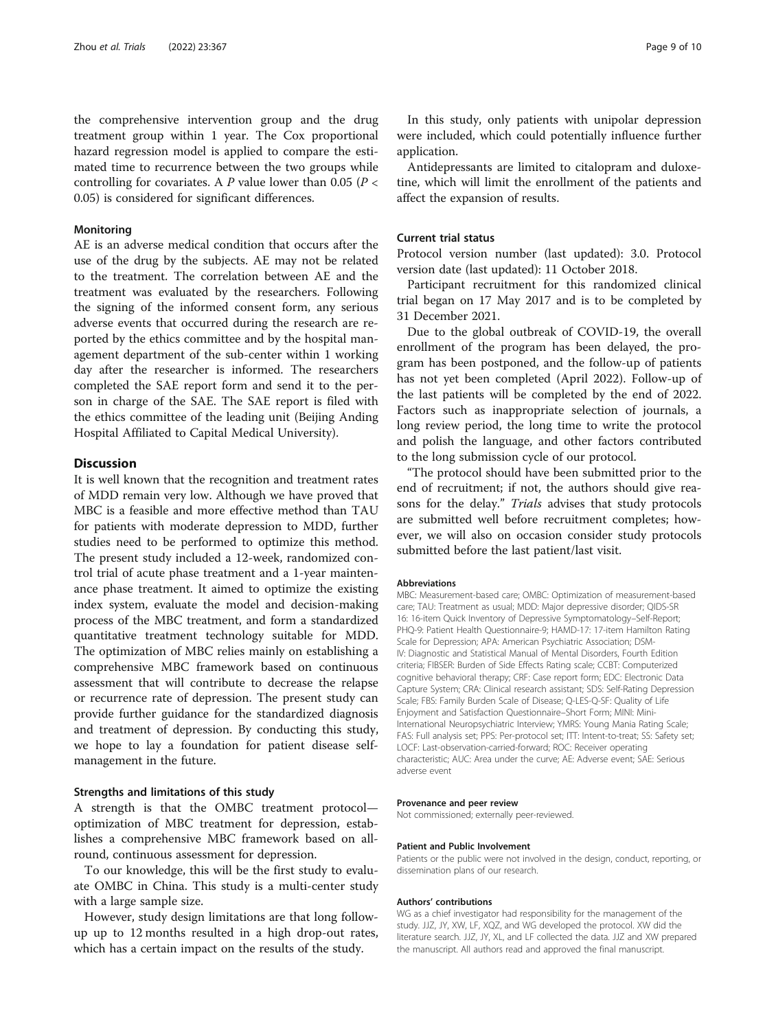the comprehensive intervention group and the drug treatment group within 1 year. The Cox proportional hazard regression model is applied to compare the estimated time to recurrence between the two groups while controlling for covariates. A P value lower than 0.05 ( $P <$ 0.05) is considered for significant differences.

# Monitoring

AE is an adverse medical condition that occurs after the use of the drug by the subjects. AE may not be related to the treatment. The correlation between AE and the treatment was evaluated by the researchers. Following the signing of the informed consent form, any serious adverse events that occurred during the research are reported by the ethics committee and by the hospital management department of the sub-center within 1 working day after the researcher is informed. The researchers completed the SAE report form and send it to the person in charge of the SAE. The SAE report is filed with the ethics committee of the leading unit (Beijing Anding Hospital Affiliated to Capital Medical University).

# **Discussion**

It is well known that the recognition and treatment rates of MDD remain very low. Although we have proved that MBC is a feasible and more effective method than TAU for patients with moderate depression to MDD, further studies need to be performed to optimize this method. The present study included a 12-week, randomized control trial of acute phase treatment and a 1-year maintenance phase treatment. It aimed to optimize the existing index system, evaluate the model and decision-making process of the MBC treatment, and form a standardized quantitative treatment technology suitable for MDD. The optimization of MBC relies mainly on establishing a comprehensive MBC framework based on continuous assessment that will contribute to decrease the relapse or recurrence rate of depression. The present study can provide further guidance for the standardized diagnosis and treatment of depression. By conducting this study, we hope to lay a foundation for patient disease selfmanagement in the future.

#### Strengths and limitations of this study

A strength is that the OMBC treatment protocol optimization of MBC treatment for depression, establishes a comprehensive MBC framework based on allround, continuous assessment for depression.

To our knowledge, this will be the first study to evaluate OMBC in China. This study is a multi-center study with a large sample size.

However, study design limitations are that long followup up to 12 months resulted in a high drop-out rates, which has a certain impact on the results of the study.

In this study, only patients with unipolar depression were included, which could potentially influence further application.

Antidepressants are limited to citalopram and duloxetine, which will limit the enrollment of the patients and affect the expansion of results.

# Current trial status

Protocol version number (last updated): 3.0. Protocol version date (last updated): 11 October 2018.

Participant recruitment for this randomized clinical trial began on 17 May 2017 and is to be completed by 31 December 2021.

Due to the global outbreak of COVID-19, the overall enrollment of the program has been delayed, the program has been postponed, and the follow-up of patients has not yet been completed (April 2022). Follow-up of the last patients will be completed by the end of 2022. Factors such as inappropriate selection of journals, a long review period, the long time to write the protocol and polish the language, and other factors contributed to the long submission cycle of our protocol.

"The protocol should have been submitted prior to the end of recruitment; if not, the authors should give reasons for the delay." Trials advises that study protocols are submitted well before recruitment completes; however, we will also on occasion consider study protocols submitted before the last patient/last visit.

#### Abbreviations

MBC: Measurement-based care; OMBC: Optimization of measurement-based care; TAU: Treatment as usual; MDD: Major depressive disorder; QIDS-SR 16: 16-item Quick Inventory of Depressive Symptomatology–Self-Report; PHQ-9: Patient Health Questionnaire-9; HAMD-17: 17-item Hamilton Rating Scale for Depression; APA: American Psychiatric Association; DSM-IV: Diagnostic and Statistical Manual of Mental Disorders, Fourth Edition criteria; FIBSER: Burden of Side Effects Rating scale; CCBT: Computerized cognitive behavioral therapy; CRF: Case report form; EDC: Electronic Data Capture System; CRA: Clinical research assistant; SDS: Self-Rating Depression Scale; FBS: Family Burden Scale of Disease; Q-LES-Q-SF: Quality of Life Enjoyment and Satisfaction Questionnaire–Short Form; MINI: Mini-International Neuropsychiatric Interview; YMRS: Young Mania Rating Scale; FAS: Full analysis set; PPS: Per-protocol set; ITT: Intent-to-treat; SS: Safety set; LOCF: Last-observation-carried-forward; ROC: Receiver operating characteristic; AUC: Area under the curve; AE: Adverse event; SAE: Serious adverse event

#### Provenance and peer review

Not commissioned; externally peer-reviewed.

#### Patient and Public Involvement

Patients or the public were not involved in the design, conduct, reporting, or dissemination plans of our research.

#### Authors' contributions

WG as a chief investigator had responsibility for the management of the study. JJZ, JY, XW, LF, XQZ, and WG developed the protocol. XW did the literature search. JJZ, JY, XL, and LF collected the data. JJZ and XW prepared the manuscript. All authors read and approved the final manuscript.